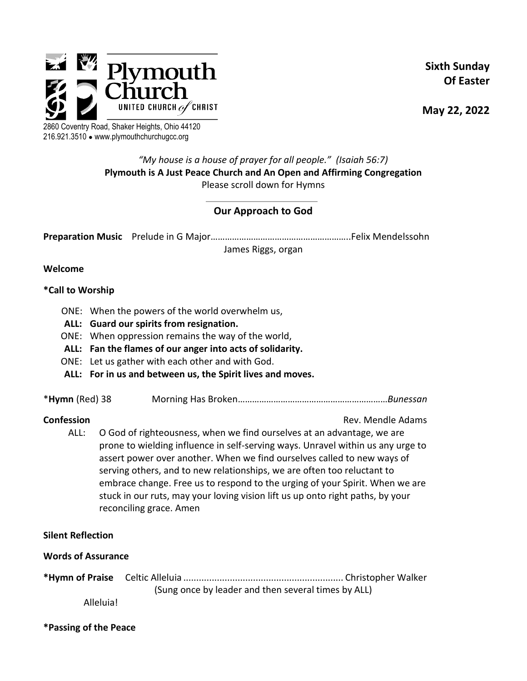

**Sixth Sunday Of Easter**

**May 22, 2022**

2860 Coventry Road, Shaker Heights, Ohio 44120 216.921.3510 ● www.plymouthchurchugcc.org

> *"My house is a house of prayer for all people." (Isaiah 56:7)* **Plymouth is A Just Peace Church and An Open and Affirming Congregation** Please scroll down for Hymns

# **Our Approach to God**

**Preparation Music** Prelude in G Major…………………………………………………..Felix Mendelssohn James Riggs, organ

## **Welcome**

## **\*Call to Worship**

- ONE: When the powers of the world overwhelm us,
- **ALL: Guard our spirits from resignation.**
- ONE: When oppression remains the way of the world,
- **ALL: Fan the flames of our anger into acts of solidarity.**
- ONE: Let us gather with each other and with God.
- **ALL: For in us and between us, the Spirit lives and moves.**

\***Hymn** (Red) 38 Morning Has Broken………………………………………………………*Bunessan*

**Confession Confession Rev. Mendle Adams** 

ALL: O God of righteousness, when we find ourselves at an advantage, we are prone to wielding influence in self-serving ways. Unravel within us any urge to assert power over another. When we find ourselves called to new ways of serving others, and to new relationships, we are often too reluctant to embrace change. Free us to respond to the urging of your Spirit. When we are stuck in our ruts, may your loving vision lift us up onto right paths, by your reconciling grace. Amen

# **Silent Reflection**

# **Words of Assurance**

**\*Hymn of Praise** Celtic Alleluia .............................................................. Christopher Walker (Sung once by leader and then several times by ALL)

Alleluia!

**\*Passing of the Peace**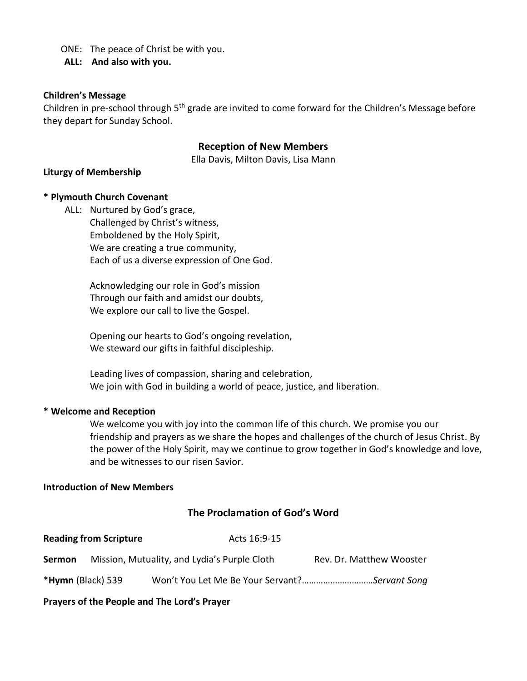ONE: The peace of Christ be with you.

**ALL: And also with you.**

### **Children's Message**

Children in pre-school through 5th grade are invited to come forward for the Children's Message before they depart for Sunday School.

## **Reception of New Members**

Ella Davis, Milton Davis, Lisa Mann

## **Liturgy of Membership**

## **\* Plymouth Church Covenant**

ALL: Nurtured by God's grace, Challenged by Christ's witness, Emboldened by the Holy Spirit, We are creating a true community, Each of us a diverse expression of One God.

> Acknowledging our role in God's mission Through our faith and amidst our doubts, We explore our call to live the Gospel.

Opening our hearts to God's ongoing revelation, We steward our gifts in faithful discipleship.

Leading lives of compassion, sharing and celebration, We join with God in building a world of peace, justice, and liberation.

## **\* Welcome and Reception**

We welcome you with joy into the common life of this church. We promise you our friendship and prayers as we share the hopes and challenges of the church of Jesus Christ. By the power of the Holy Spirit, may we continue to grow together in God's knowledge and love, and be witnesses to our risen Savior.

#### **Introduction of New Members**

# **The Proclamation of God's Word**

|                   | <b>Reading from Scripture</b> | Acts 16:9-15                                  |                          |
|-------------------|-------------------------------|-----------------------------------------------|--------------------------|
| <b>Sermon</b>     |                               | Mission, Mutuality, and Lydia's Purple Cloth  | Rev. Dr. Matthew Wooster |
| *Hymn (Black) 539 |                               | Won't You Let Me Be Your Servant?Servant Song |                          |

## **Prayers of the People and The Lord's Prayer**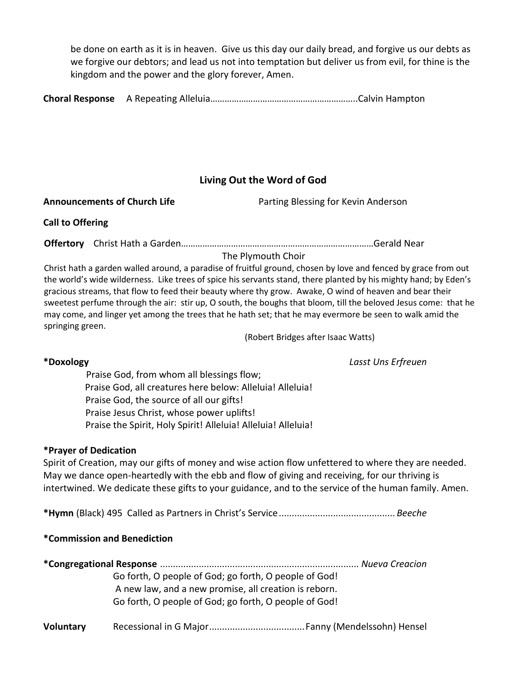be done on earth as it is in heaven. Give us this day our daily bread, and forgive us our debts as we forgive our debtors; and lead us not into temptation but deliver us from evil, for thine is the kingdom and the power and the glory forever, Amen.

**Choral Response** A Repeating Alleluia……………………………………………………..Calvin Hampton

# **Living Out the Word of God**

**Announcements of Church Life Parting Blessing for Kevin Anderson** 

**Call to Offering**

**Offertory** Christ Hath a Garden………………………………………………………………………Gerald Near

# The Plymouth Choir

Christ hath a garden walled around, a paradise of fruitful ground, chosen by love and fenced by grace from out the world's wide wilderness. Like trees of spice his servants stand, there planted by his mighty hand; by Eden's gracious streams, that flow to feed their beauty where thy grow. Awake, O wind of heaven and bear their sweetest perfume through the air: stir up, O south, the boughs that bloom, till the beloved Jesus come: that he may come, and linger yet among the trees that he hath set; that he may evermore be seen to walk amid the springing green.

(Robert Bridges after Isaac Watts)

**\*Doxology** *Lasst Uns Erfreuen*

Praise God, from whom all blessings flow; Praise God, all creatures here below: Alleluia! Alleluia! Praise God, the source of all our gifts! Praise Jesus Christ, whose power uplifts! Praise the Spirit, Holy Spirit! Alleluia! Alleluia! Alleluia!

# **\*Prayer of Dedication**

Spirit of Creation, may our gifts of money and wise action flow unfettered to where they are needed. May we dance open-heartedly with the ebb and flow of giving and receiving, for our thriving is intertwined. We dedicate these gifts to your guidance, and to the service of the human family. Amen.

**\*Hymn** (Black) 495 Called as Partners in Christ's Service............................................. *Beeche*

# **\*Commission and Benediction**

| Go forth, O people of God; go forth, O people of God! |  |
|-------------------------------------------------------|--|
| A new law, and a new promise, all creation is reborn. |  |
| Go forth, O people of God; go forth, O people of God! |  |
|                                                       |  |

**Voluntary** Recessional in G Major.....................................Fanny (Mendelssohn) Hensel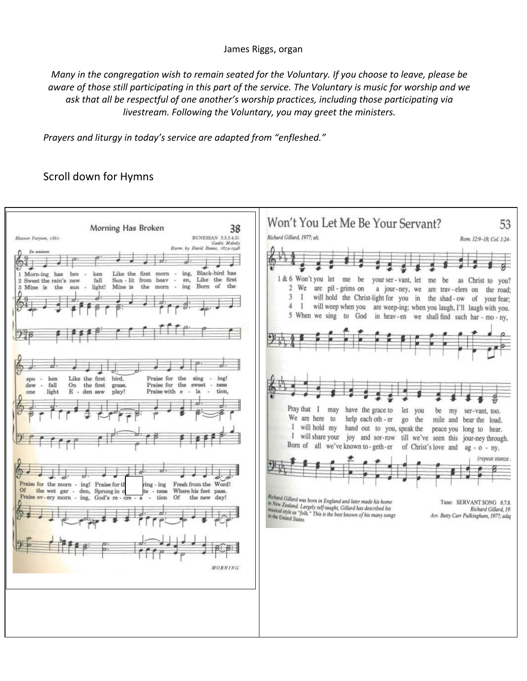### James Riggs, organ

*Many in the congregation wish to remain seated for the Voluntary. If you choose to leave, please be aware of those still participating in this part of the service. The Voluntary is music for worship and we ask that all be respectful of one another's worship practices, including those participating via livestream. Following the Voluntary, you may greet the ministers.*

*Prayers and liturgy in today's service are adapted from "enfleshed."*

# Scroll down for Hymns